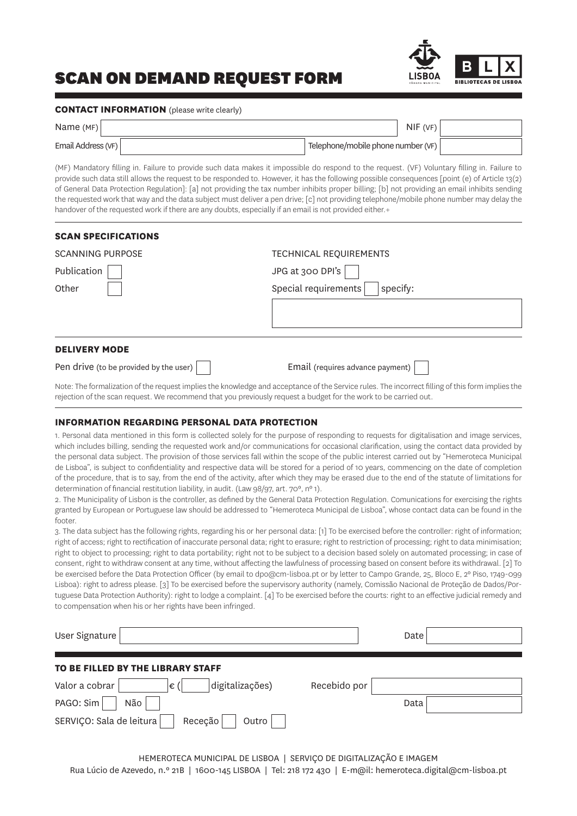# SCAN ON DEMAND REQUEST FORM



#### **CONTACT INFORMATION** (please write clearly)

| Name $(MF)$        | NIF(VF)                            |  |
|--------------------|------------------------------------|--|
| Email Address (VF) | Telephone/mobile phone number (VF) |  |

(MF) Mandatory filling in. Failure to provide such data makes it impossible do respond to the request. (VF) Voluntary filling in. Failure to provide such data still allows the request to be responded to. However, it has the following possible consequences [point (e) of Article 13(2) of General Data Protection Regulation]: [a] not providing the tax number inhibits proper billing; [b] not providing an email inhibits sending the requested work that way and the data subject must deliver a pen drive; [c] not providing telephone/mobile phone number may delay the handover of the requested work if there are any doubts, especially if an email is not provided either.+

| <b>SCAN SPECIFICATIONS</b>             |                                  |
|----------------------------------------|----------------------------------|
| <b>SCANNING PURPOSE</b>                | <b>TECHNICAL REQUIREMENTS</b>    |
| Publication                            | JPG at 300 DPI's                 |
| Other                                  | Special requirements<br>specify: |
|                                        |                                  |
|                                        |                                  |
| <b>DELIVERY MODE</b>                   |                                  |
| Pen drive (to be provided by the user) | Email (requires advance payment) |

Note: The formalization of the request implies the knowledge and acceptance of the Service rules. The incorrect filling of this form implies the rejection of the scan request. We recommend that you previously request a budget for the work to be carried out.

#### **INFORMATION REGARDING PERSONAL DATA PROTECTION**

1. Personal data mentioned in this form is collected solely for the purpose of responding to requests for digitalisation and image services, which includes billing, sending the requested work and/or communications for occasional clarification, using the contact data provided by the personal data subject. The provision of those services fall within the scope of the public interest carried out by "Hemeroteca Municipal de Lisboa", is subject to confidentiality and respective data will be stored for a period of 10 years, commencing on the date of completion of the procedure, that is to say, from the end of the activity, after which they may be erased due to the end of the statute of limitations for determination of financial restitution liability, in audit. (Law 98/97, art. 70°, n° 1).

2. The Municipality of Lisbon is the controller, as defined by the General Data Protection Regulation. Comunications for exercising the rights granted by European or Portuguese law should be addressed to "Hemeroteca Municipal de Lisboa", whose contact data can be found in the footer

3. The data subject has the following rights, regarding his or her personal data: [1] To be exercised before the controller: right of information; right of access; right to rectification of inaccurate personal data; right to erasure; right to restriction of processing; right to data minimisation; right to object to processing; right to data portability; right not to be subject to a decision based solely on automated processing; in case of consent, right to withdraw consent at any time, without affecting the lawfulness of processing based on consent before its withdrawal. [2] To be exercised before the Data Protection Officer (by email to dpo@cm-lisboa.pt or by letter to Campo Grande, 25, Bloco E, 2º Piso, 1749-099 Lisboa): right to adress please. [3] To be exercised before the supervisory authority (namely, Comissão Nacional de Proteção de Dados/Portuguese Data Protection Authority): right to lodge a complaint. [4] To be exercised before the courts: right to an effective judicial remedy and to compensation when his or her rights have been infringed.

| User Signature                               |              | Date |
|----------------------------------------------|--------------|------|
| TO BE FILLED BY THE LIBRARY STAFF            |              |      |
| Valor a cobrar<br>digitalizações)<br>∣€ (    | Recebido por |      |
| PAGO: Sim<br>Não                             |              | Data |
| SERVIÇO: Sala de leitura<br>Receção<br>Outro |              |      |